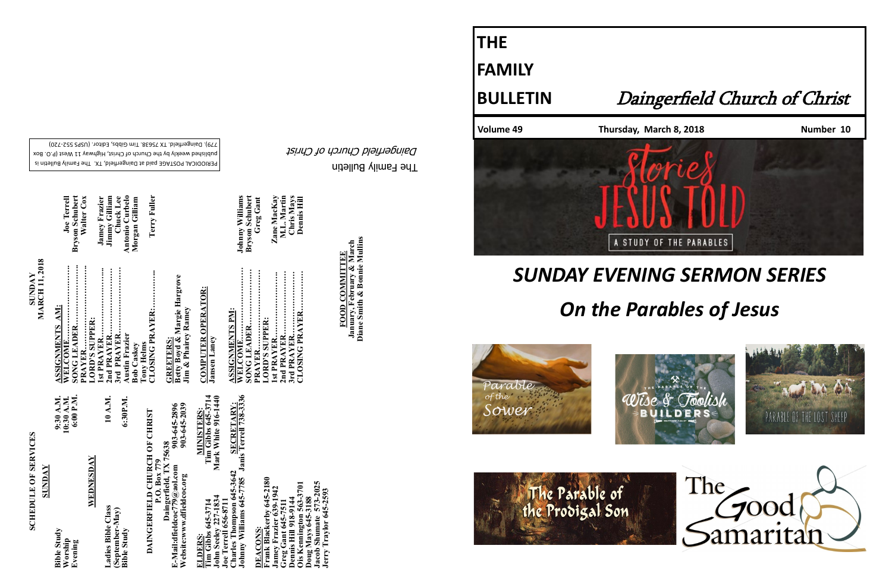The Family Bulletin Daingerfield Church of Christ

## **SCHEDULE OF SERVICES SCHEDULE OF SERVICES**

PERIODICAL POSTAGE paid at Daingerfield, TX. The Family Bulletin is published weekly by the Church of Christ, Highway 11 West (P.O. Box 720) - 779). Daingerfield. TX 75638. Tim Gibbs, Editor. (USPS 552

Terry Fuller

| <b>SUNDAY</b>                            |                                      |
|------------------------------------------|--------------------------------------|
| <b>Bible Study</b><br>Worship<br>Evening | 6:00 P.M.<br>10:30 A.M.<br>9:30 A.M. |
| WEDNESDAY                                |                                      |
| Ladies Bible Class                       | 10 A.M.                              |

**Frank Blackerby 645-2180**  645-2180 **Ois Kennington 563-3701 Jacob Shumate 573-2025** 1701 **Jamey Frazier 639-1942 Jerry Traylor 645-2593 Greg Gant 645-7511 Dennis Hill 918-9144 Doug Mays 645-3188 DEACONS:**  <u>EACONS</u> cia  $\mathbf{g}_0$ 

# **Bible Study 6:30P.M.** (September-May)<br>Bible Study **(September-May)**

6:30P.M.

903-645-2896<br>903-645-2039 **Website:www.dfieldcoc.org 903-645-2039 E-Mail:dfieldcoc779@aol.com 903-645-2896 DAINGERFIELD CHURCH OF CHRIST Daingerfield, TX 75638 P.O. Box 779** E-Mail:dfieldcoc779@a<br>Website:www.dfieldcoc. MINISTERS:<br>Tim Gibbs 645-3714<br>Mark White 916-1440 **Tim Gibbs 645-3714 Tim Gibbs 645-3714 SECRETARY:**<br>Janis Terrell 738-3336 **John Seeley 227-1834 Mark White 916-1440 Johnny Williams 645-7785 Janis Terrell 738-3336 Charles Thompson 645-3642 SECRETARY: ELDERS: MINISTERS:** harles Thompson 645-364<br>ohnny Williams 645-7785 1834 **Joe Terrell 656-8711**  656-87 645-371 ohn Seeley<br>oe Terrell ELDER

**SUNDAY<br>MARCH 11, 2018 MARCH 11, 2018**

**Joe Terrell<br>Bryson Schubert<br>Walter Cox** Antonio Curbelo<br>Morgan Gilliam **WELCOME………………………. Joe Terrell SONG LEADER………………….. Bryson Schubert PRAYER………………………….. Walter Cox 2nd PRAYER……………………. Jimmy Gilliam Austin Frazier Antonio Curbelo CLOSING PRAYER:…………... Terry Fuller 1st PRAYER……………………... Jamey Frazier 3rd PRAYER……………………. Chuck Lee Bob Caskey Morgan Gilliam Tony Helms<br>CLOSING PRAYER:..** AM: **ASSIGNMENTS AM: LORD'S SUPPER:**  will:.......<br>EADER... **SUPPER** SSIGNMENTS **AYER** razie YEI **Tony Helms**  stin F C<br>do

Jamey Frazier<br>Jimmy Gilliam<br>Chuck Lee

**GREETERS:**<br>Betty Boyd & Margie Hargrove<br>Jim & Phairey Ramey **Betty Boyd & Margie Hargrove Jim & Phairey Ramey GREETERS:** 

**FOOD COMMITTEE**<br>January, February & March<br>Diane Smith & Bonnie Mullins **January, February & March FOOD COMMITTEE**

**COMPUTER OPERATOR: Jansen Laney**

| <b>ASSIGNMENTS PM:</b> |                        |
|------------------------|------------------------|
| <b>WELCOME</b>         | <b>Johnny Williams</b> |
| SONG LEADER            | Bryson Schubert        |
| <b>PRAYER</b>          | <b>Greg Gant</b>       |
| LORD'S SUPPER:         |                        |
| 1st PRAYER             | Zane MacKay            |
| 2nd PRAYER             | M.L. Martin            |
| 3rd PRAYER             | Chris Mays             |
| CLOSING PRAYER         | <b>Dennis Hill</b>     |
|                        |                        |

**Zane MacKay<br>M.L. Martin<br>Chris Mays<br>Dennis Hill** 

**Diane Smith & Bonnie Mullins**

**THE**



**FAMILY**

### **BULLETIN** Daingerfield Church of Christ







The Parable of<br>the Prodigal Son

## *SUNDAY EVENING SERMON SERIES On the Parables of Jesus*